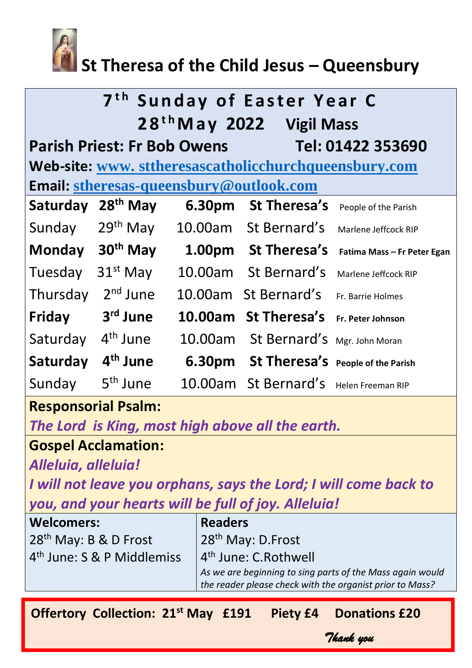

# **St Theresa of the Child Jesus – Queensbury**

| 7 <sup>th</sup> Sunday of Easter Year C<br>28 <sup>th</sup> May 2022 Vigil Mass |                      |        |                                                 |                             |  |
|---------------------------------------------------------------------------------|----------------------|--------|-------------------------------------------------|-----------------------------|--|
| <b>Parish Priest: Fr Bob Owens</b><br>Tel: 01422 353690                         |                      |        |                                                 |                             |  |
| Web-site: www.sttheresascatholicchurchqueensbury.com                            |                      |        |                                                 |                             |  |
| <b>Email: stheresas-queensbury@outlook.com</b>                                  |                      |        |                                                 |                             |  |
| Saturday                                                                        | $28th$ May           | 6.30pm | St Theresa's                                    | People of the Parish        |  |
| Sunday                                                                          | $29th$ May           |        | 10.00am St Bernard's                            | Marlene Jeffcock RIP        |  |
| <b>Monday</b>                                                                   | 30 <sup>th</sup> May |        | 1.00pm St Theresa's                             | Fatima Mass - Fr Peter Egan |  |
| Tuesday                                                                         | $31st$ May           |        | 10.00am St Bernard's                            | Marlene Jeffcock RIP        |  |
| Thursday                                                                        | $2nd$ June           |        | 10.00am St Bernard's                            | Fr. Barrie Holmes           |  |
| Friday                                                                          | 3 <sup>rd</sup> June |        | 10.00am St Theresa's                            | Fr. Peter Johnson           |  |
| Saturday                                                                        | 4 <sup>th</sup> June |        | 10.00am St Bernard's Mgr. John Moran            |                             |  |
| Saturday                                                                        | 4 <sup>th</sup> June |        | <b>6.30pm</b> St Theresa's People of the Parish |                             |  |
| Sunday                                                                          | 5 <sup>th</sup> June |        | 10.00am St Bernard's Helen Freeman RIP          |                             |  |

# **Responsorial Psalm:**

*The Lord is King, most high above all the earth.*

# **Gospel Acclamation:**

*Alleluia, alleluia!*

*I will not leave you orphans, says the Lord; I will come back to you, and your hearts will be full of joy. Alleluia!*

| <b>Welcomers:</b>                      | <b>Readers</b>                                            |  |
|----------------------------------------|-----------------------------------------------------------|--|
| 28 <sup>th</sup> May: B & D Frost      | 28 <sup>th</sup> May: D.Frost                             |  |
| 4 <sup>th</sup> June: S & P Middlemiss | 4 <sup>th</sup> June: C.Rothwell                          |  |
|                                        | As we are beginning to sing parts of the Mass again would |  |
|                                        | the reader please check with the organist prior to Mass?  |  |
|                                        |                                                           |  |

*Thank you* 

**Offertory Collection: 21st May £191 Piety £4 Donations £20**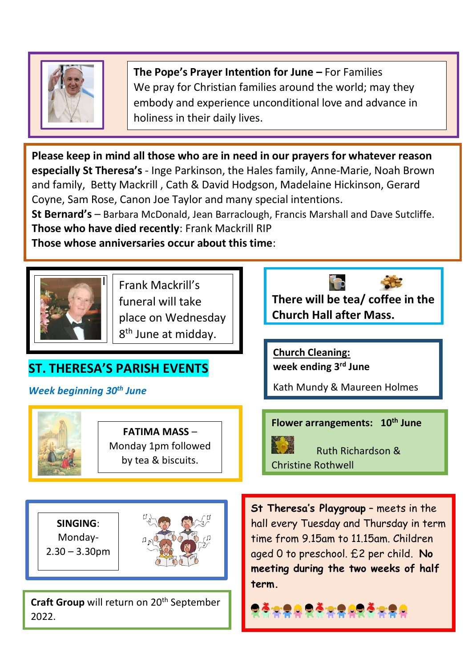

**The Pope's Prayer Intention for June –** For Families We pray for Christian families around the world; may they embody and experience unconditional love and advance in holiness in their daily lives.

**Please keep in mind all those who are in need in our prayers for whatever reason especially St Theresa's** - Inge Parkinson, the Hales family, Anne-Marie, Noah Brown and family, Betty Mackrill , Cath & David Hodgson, Madelaine Hickinson, Gerard Coyne, Sam Rose, Canon Joe Taylor and many special intentions.

**St Bernard's** – Barbara McDonald, Jean Barraclough, Francis Marshall and Dave Sutcliffe. **Those who have died recently**: Frank Mackrill RIP

**Those whose anniversaries occur about this time**:



Frank Mackrill's funeral will take place on Wednesday 8<sup>th</sup> June at midday.

# **ST. THERESA'S PARISH EVENTS**

*Week beginning 30th June*



**FATIMA MASS** – Monday 1pm followed by tea & biscuits.

**There will be tea/ coffee in the Church Hall after Mass.** 

**Church Cleaning: week ending 3rd June**

Kath Mundy & Maureen Holmes

**Flower arrangements: 10th June**

 Ruth Richardson & Christine Rothwell

**SINGING**: Monday- $2.30 - 3.30$ pm



**Craft Group** will return on 20<sup>th</sup> September 2022.

**St Theresa's Playgroup** – meets in the hall every Tuesday and Thursday in term time from 9.15am to 11.15am. Children aged 0 to preschool. £2 per child. **No meeting during the two weeks of half term.**

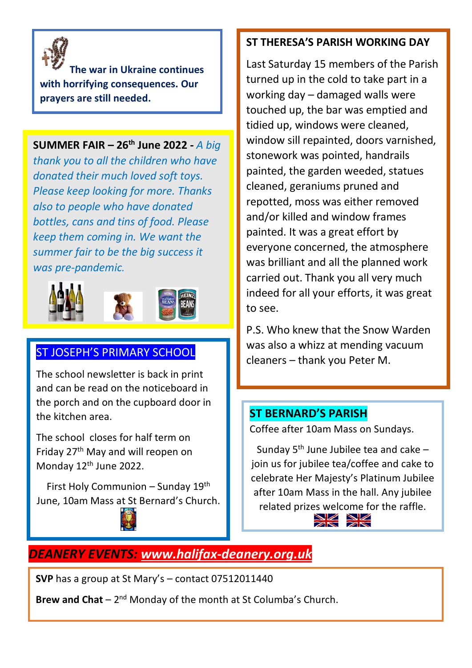

**The war in Ukraine continues with horrifying consequences. Our prayers are still needed.**

#### **SUMMER FAIR – 26th June 2022 -** *A big*

*thank you to all the children who have donated their much loved soft toys. Please keep looking for more. Thanks also to people who have donated bottles, cans and tins of food. Please keep them coming in. We want the summer fair to be the big success it was pre-pandemic.*



#### ST JOSEPH'S PRIMARY SCHOOL

The school newsletter is back in print and can be read on the noticeboard in the porch and on the cupboard door in the kitchen area.

The school closes for half term on Friday 27th May and will reopen on Monday 12th June 2022.

First Holy Communion – Sunday 19th June, 10am Mass at St Bernard's Church.



#### **ST THERESA'S PARISH WORKING DAY**

Last Saturday 15 members of the Parish turned up in the cold to take part in a working day – damaged walls were touched up, the bar was emptied and tidied up, windows were cleaned, window sill repainted, doors varnished, stonework was pointed, handrails painted, the garden weeded, statues cleaned, geraniums pruned and repotted, moss was either removed and/or killed and window frames painted. It was a great effort by everyone concerned, the atmosphere was brilliant and all the planned work carried out. Thank you all very much indeed for all your efforts, it was great to see.

P.S. Who knew that the Snow Warden was also a whizz at mending vacuum cleaners – thank you Peter M.

#### **ST BERNARD'S PARISH**

Coffee after 10am Mass on Sundays.

Sunday  $5<sup>th</sup>$  June Jubilee tea and cake – join us for jubilee tea/coffee and cake to celebrate Her Majesty's Platinum Jubilee after 10am Mass in the hall. Any jubilee related prizes welcome for the raffle.  $\overline{\phantom{a}}$ 

## *DEANERY EVENTS: [www.halifax-deanery.org.uk](http://www.halifax-deanery.org.uk/)*

**SVP** has a group at St Mary's – contact 07512011440

Brew and Chat – 2<sup>nd</sup> Monday of the month at St Columba's Church.